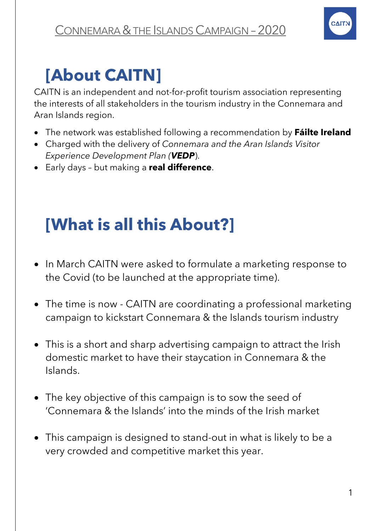

## **[About CAITN]**

CAITN is an independent and not-for-profit tourism association representing the interests of all stakeholders in the tourism industry in the Connemara and Aran Islands region.

- The network was established following a recommendation by **Fáilte Ireland**
- Charged with the delivery of *Connemara and the Aran Islands Visitor Experience Development Plan (VEDP*).
- Early days but making a **real difference**.

# **[What is all this About?]**

- In March CAITN were asked to formulate a marketing response to the Covid (to be launched at the appropriate time).
- The time is now CAITN are coordinating a professional marketing campaign to kickstart Connemara & the Islands tourism industry
- This is a short and sharp advertising campaign to attract the Irish domestic market to have their staycation in Connemara & the Islands.
- The key objective of this campaign is to sow the seed of 'Connemara & the Islands' into the minds of the Irish market
- This campaign is designed to stand-out in what is likely to be a very crowded and competitive market this year.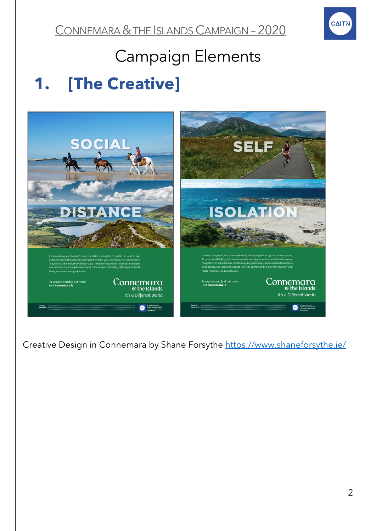

### Campaign Elements

### **1. [The Creative]**



Creative Design in Connemara by Shane Forsythe<https://www.shaneforsythe.ie/>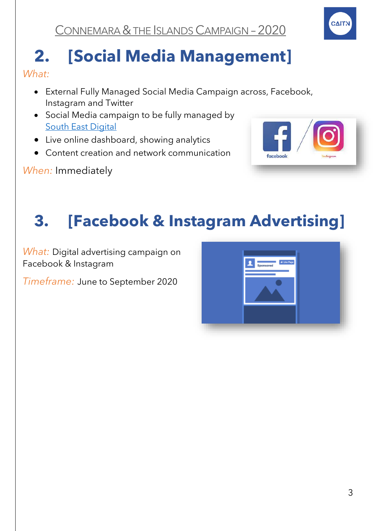

# **2. [Social Media Management]**

*What:*

- External Fully Managed Social Media Campaign across, Facebook, Instagram and Twitter
- Social Media campaign to be fully managed by [South East Digital](https://southeastdigital.ie/)
- Live online dashboard, showing analytics
- Content creation and network communication

*When:* Immediately



# **3. [Facebook & Instagram Advertising]**

*What:* Digital advertising campaign on Facebook & Instagram

*Timeframe:* June to September 2020

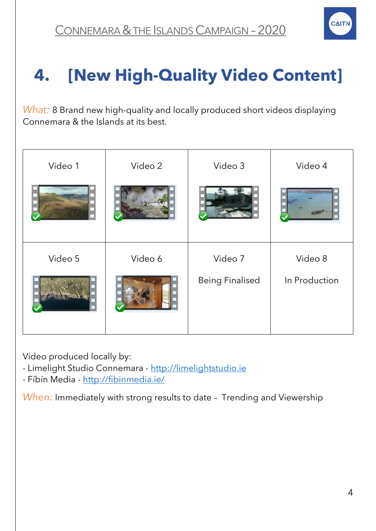

# **4. [New High-Quality Video Content]**

*What:* 8 Brand new high-quality and locally produced short videos displaying Connemara & the Islands at its best.

| Video 1 | Video 2 | Video 3                | Video 4       |
|---------|---------|------------------------|---------------|
|         |         |                        |               |
| Video 5 | Video 6 | Video 7                | Video 8       |
|         |         | <b>Being Finalised</b> | In Production |

Video produced locally by:

- Limelight Studio Connemara - [http://limelightstudio.ie](http://limelightstudio.ie/)

- Fíbín Media - <http://fibinmedia.ie/>

*When:* Immediately with strong results to date – Trending and Viewership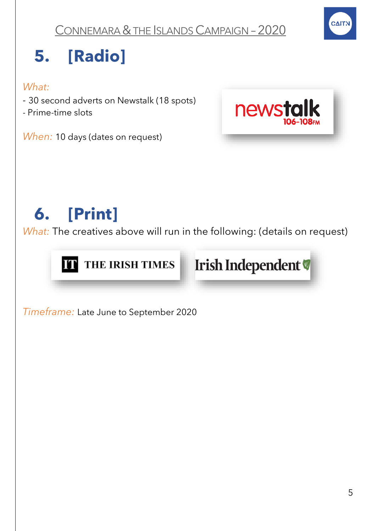

# **5. [Radio]**

#### *What:*

- *-* 30 second adverts on Newstalk (18 spots)
- Prime-time slots

*When:* 10 days (dates on request)



# **6. [Print]**

*What:* The creatives above will run in the following: (details on request)





*Timeframe:* Late June to September 2020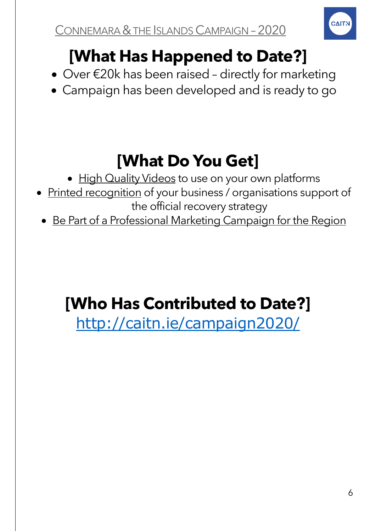

# **[What Has Happened to Date?]**

- Over €20k has been raised directly for marketing
- Campaign has been developed and is ready to go

## **[What Do You Get]**

- High Quality Videos to use on your own platforms
- Printed recognition of your business / organisations support of the official recovery strategy
	- Be Part of a Professional Marketing Campaign for the Region

### **[Who Has Contributed to Date?]**

<http://caitn.ie/campaign2020/>